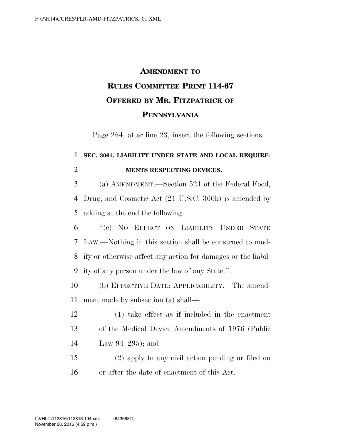## **AMENDMENT TO RULES COMMITTEE PRINT 114-67 OFFERED BY MR. FITZPATRICK OF PENNSYLVANIA**

Page 264, after line 23, insert the following sections:

## **SEC. 3061. LIABILITY UNDER STATE AND LOCAL REQUIRE-MENTS RESPECTING DEVICES.**

 (a) AMENDMENT.—Section 521 of the Federal Food, Drug, and Cosmetic Act (21 U.S.C. 360k) is amended by adding at the end the following:

 ''(c) NO EFFECT ON LIABILITY UNDER STATE LAW.—Nothing in this section shall be construed to mod- ify or otherwise affect any action for damages or the liabil-ity of any person under the law of any State.''.

 (b) EFFECTIVE DATE; APPLICABILITY.—The amend-ment made by subsection (a) shall—

 (1) take effect as if included in the enactment of the Medical Device Amendments of 1976 (Public Law 94–295); and

 (2) apply to any civil action pending or filed on or after the date of enactment of this Act.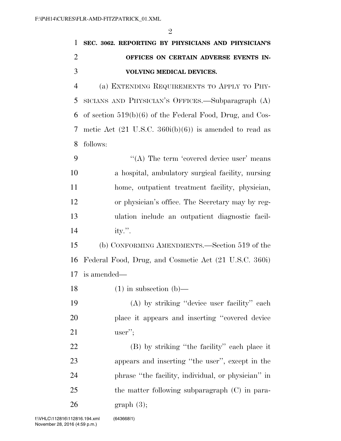| $\mathbf{1}$   | SEC. 3062. REPORTING BY PHYSICIANS AND PHYSICIAN'S                |
|----------------|-------------------------------------------------------------------|
| $\overline{2}$ | OFFICES ON CERTAIN ADVERSE EVENTS IN-                             |
| 3              | VOLVING MEDICAL DEVICES.                                          |
| 4              | (a) EXTENDING REQUIREMENTS TO APPLY TO PHY-                       |
| 5              | SICIANS AND PHYSICIAN'S OFFICES.—Subparagraph (A)                 |
| 6              | of section $519(b)(6)$ of the Federal Food, Drug, and Cos-        |
| 7              | metic Act $(21 \text{ U.S.C. } 360i(b)(6))$ is amended to read as |
| 8              | follows:                                                          |
| 9              | "(A) The term 'covered device user' means                         |
| 10             | a hospital, ambulatory surgical facility, nursing                 |
| 11             | home, outpatient treatment facility, physician,                   |
| 12             | or physician's office. The Secretary may by reg-                  |
| 13             | ulation include an outpatient diagnostic facil-                   |
| 14             | ity.".                                                            |
| 15             | (b) CONFORMING AMENDMENTS.—Section 519 of the                     |
| 16             | Federal Food, Drug, and Cosmetic Act (21 U.S.C. 360i)             |
| 17             | is amended—                                                       |
| 18             | $(1)$ in subsection (b)                                           |
| 19             | (A) by striking "device user facility" each                       |
| 20             | place it appears and inserting "covered device"                   |
| 21             | $user''$ ;                                                        |
| <u>22</u>      | (B) by striking "the facility" each place it                      |
| 23             | appears and inserting "the user", except in the                   |
| 24             | phrase "the facility, individual, or physician" in                |
| 25             | the matter following subparagraph (C) in para-                    |
| 26             | graph(3);                                                         |